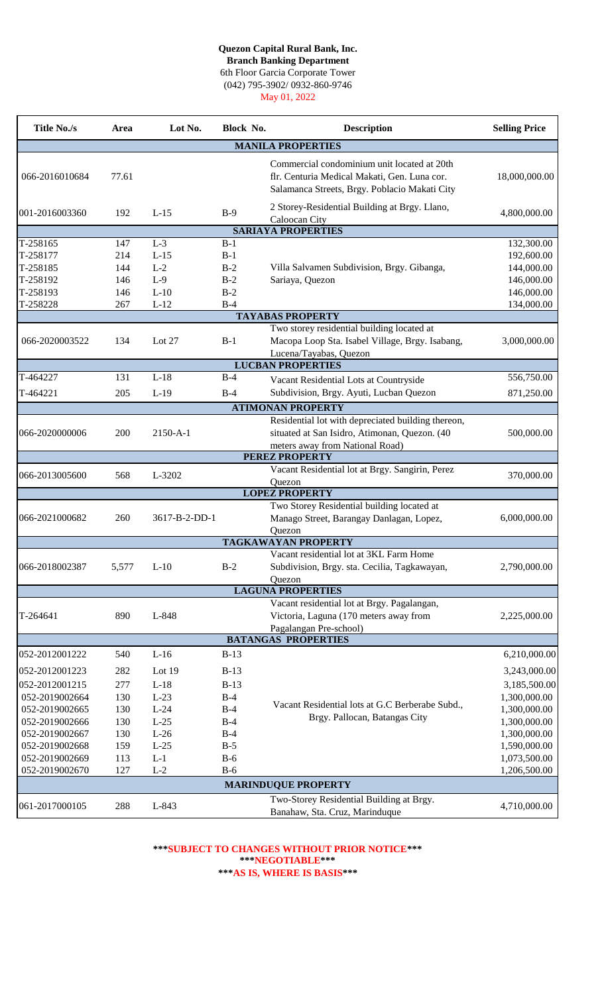## **Quezon Capital Rural Bank, Inc.**

6th Floor Garcia Corporate Tower **Branch Banking Department**

(042) 795-3902/ 0932-860-9746

May 01, 2022

| <b>Title No./s</b>               | Area       | Lot No.          | Block No.      | <b>Description</b>                                                                                                                           | <b>Selling Price</b>         |
|----------------------------------|------------|------------------|----------------|----------------------------------------------------------------------------------------------------------------------------------------------|------------------------------|
|                                  |            |                  |                | <b>MANILA PROPERTIES</b>                                                                                                                     |                              |
| 066-2016010684                   | 77.61      |                  |                | Commercial condominium unit located at 20th<br>flr. Centuria Medical Makati, Gen. Luna cor.<br>Salamanca Streets, Brgy. Poblacio Makati City | 18,000,000.00                |
| 001-2016003360                   | 192        | $L-15$           | $B-9$          | 2 Storey-Residential Building at Brgy. Llano,<br>Caloocan City                                                                               | 4,800,000.00                 |
|                                  |            |                  |                | <b>SARIAYA PROPERTIES</b>                                                                                                                    |                              |
| T-258165                         | 147        | $L-3$            | $B-1$          |                                                                                                                                              | 132,300.00                   |
| T-258177                         | 214        | $L-15$           | $B-1$          |                                                                                                                                              | 192,600.00                   |
| T-258185                         | 144        | $L-2$            | $B-2$          | Villa Salvamen Subdivision, Brgy. Gibanga,                                                                                                   | 144,000.00                   |
| T-258192                         | 146        | $L-9$            | $B-2$          | Sariaya, Quezon                                                                                                                              | 146,000.00                   |
| T-258193                         | 146        | $L-10$           | $B-2$          |                                                                                                                                              | 146,000.00                   |
| T-258228                         | 267        | $L-12$           | $B-4$          |                                                                                                                                              | 134,000.00                   |
|                                  |            |                  |                | <b>TAYABAS PROPERTY</b>                                                                                                                      |                              |
|                                  |            |                  |                | Two storey residential building located at                                                                                                   |                              |
| 066-2020003522                   | 134        | Lot $27$         | $B-1$          | Macopa Loop Sta. Isabel Village, Brgy. Isabang,                                                                                              | 3,000,000.00                 |
|                                  |            |                  |                | Lucena/Tayabas, Quezon<br><b>LUCBAN PROPERTIES</b>                                                                                           |                              |
| T-464227                         | 131        | $L-18$           | $B-4$          |                                                                                                                                              | 556,750.00                   |
|                                  |            |                  |                | Vacant Residential Lots at Countryside                                                                                                       |                              |
| T-464221                         | 205        | $L-19$           | $B-4$          | Subdivision, Brgy. Ayuti, Lucban Quezon                                                                                                      | 871,250.00                   |
|                                  |            |                  |                | <b>ATIMONAN PROPERTY</b>                                                                                                                     |                              |
|                                  |            |                  |                | Residential lot with depreciated building thereon,                                                                                           |                              |
| 066-2020000006                   | 200        | $2150 - A - 1$   |                | situated at San Isidro, Atimonan, Quezon. (40                                                                                                | 500,000.00                   |
|                                  |            |                  |                | meters away from National Road)<br><b>PEREZ PROPERTY</b>                                                                                     |                              |
|                                  |            |                  |                | Vacant Residential lot at Brgy. Sangirin, Perez                                                                                              |                              |
| 066-2013005600                   | 568        | L-3202           |                | Quezon                                                                                                                                       | 370,000.00                   |
|                                  |            |                  |                | <b>LOPEZ PROPERTY</b>                                                                                                                        |                              |
|                                  |            |                  |                | Two Storey Residential building located at                                                                                                   |                              |
| 066-2021000682                   | 260        | 3617-B-2-DD-1    |                | Manago Street, Barangay Danlagan, Lopez,                                                                                                     | 6,000,000.00                 |
|                                  |            |                  |                | Quezon                                                                                                                                       |                              |
|                                  |            |                  |                | <b>TAGKAWAYAN PROPERTY</b>                                                                                                                   |                              |
|                                  |            |                  |                | Vacant residential lot at 3KL Farm Home                                                                                                      |                              |
| 066-2018002387                   | 5,577      | $L-10$           | $B-2$          | Subdivision, Brgy. sta. Cecilia, Tagkawayan,                                                                                                 | 2,790,000.00                 |
|                                  |            |                  |                | Quezon<br><b>LAGUNA PROPERTIES</b>                                                                                                           |                              |
|                                  |            |                  |                | Vacant residential lot at Brgy. Pagalangan,                                                                                                  |                              |
| T-264641                         | 890        | L-848            |                | Victoria, Laguna (170 meters away from                                                                                                       | 2,225,000.00                 |
|                                  |            |                  |                | Pagalangan Pre-school)                                                                                                                       |                              |
|                                  |            |                  |                | <b>BATANGAS PROPERTIES</b>                                                                                                                   |                              |
| 052-2012001222                   | 540        | $L-16$           | $B-13$         |                                                                                                                                              | 6,210,000.00                 |
| 052-2012001223                   | 282        | Lot 19           |                |                                                                                                                                              |                              |
|                                  |            |                  | $B-13$         |                                                                                                                                              | 3,243,000.00                 |
| 052-2012001215                   | 277        | $L-18$           | $B-13$         |                                                                                                                                              | 3,185,500.00                 |
| 052-2019002664                   | 130        | $L-23$           | $B-4$          | Vacant Residential lots at G.C Berberabe Subd.,                                                                                              | 1,300,000.00                 |
| 052-2019002665<br>052-2019002666 | 130<br>130 | $L-24$<br>$L-25$ | $B-4$<br>$B-4$ | Brgy. Pallocan, Batangas City                                                                                                                | 1,300,000.00<br>1,300,000.00 |
| 052-2019002667                   | 130        | $L-26$           | $B-4$          |                                                                                                                                              | 1,300,000.00                 |
| 052-2019002668                   | 159        | $L-25$           | $B-5$          |                                                                                                                                              | 1,590,000.00                 |
| 052-2019002669                   | 113        | $L-1$            | $B-6$          |                                                                                                                                              | 1,073,500.00                 |
| 052-2019002670                   | 127        | $L-2$            | $B-6$          |                                                                                                                                              | 1,206,500.00                 |
|                                  |            |                  |                | <b>MARINDUQUE PROPERTY</b>                                                                                                                   |                              |
|                                  |            |                  |                | Two-Storey Residential Building at Brgy.                                                                                                     |                              |
| 061-2017000105                   | 288        | L-843            |                | Banahaw, Sta. Cruz, Marinduque                                                                                                               | 4,710,000.00                 |

## **\*\*\*AS IS, WHERE IS BASIS\*\*\* \*\*\*NEGOTIABLE\*\*\* \*\*\*SUBJECT TO CHANGES WITHOUT PRIOR NOTICE\*\*\***